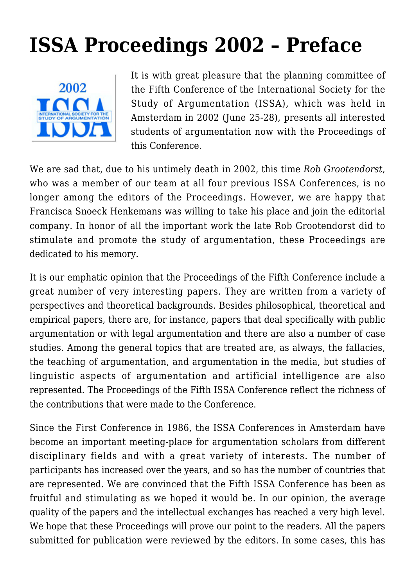## **[ISSA Proceedings 2002 – Preface](https://rozenbergquarterly.com/issa-proceedings-2002-preface/)**



It is with great pleasure that the planning committee of the Fifth Conference of the International Society for the Study of Argumentation (ISSA), which was held in Amsterdam in 2002 (June 25-28), presents all interested students of argumentation now with the Proceedings of this Conference.

We are sad that, due to his untimely death in 2002, this time *Rob Grootendorst*, who was a member of our team at all four previous ISSA Conferences, is no longer among the editors of the Proceedings. However, we are happy that Francisca Snoeck Henkemans was willing to take his place and join the editorial company. In honor of all the important work the late Rob Grootendorst did to stimulate and promote the study of argumentation, these Proceedings are dedicated to his memory.

It is our emphatic opinion that the Proceedings of the Fifth Conference include a great number of very interesting papers. They are written from a variety of perspectives and theoretical backgrounds. Besides philosophical, theoretical and empirical papers, there are, for instance, papers that deal specifically with public argumentation or with legal argumentation and there are also a number of case studies. Among the general topics that are treated are, as always, the fallacies, the teaching of argumentation, and argumentation in the media, but studies of linguistic aspects of argumentation and artificial intelligence are also represented. The Proceedings of the Fifth ISSA Conference reflect the richness of the contributions that were made to the Conference.

Since the First Conference in 1986, the ISSA Conferences in Amsterdam have become an important meeting-place for argumentation scholars from different disciplinary fields and with a great variety of interests. The number of participants has increased over the years, and so has the number of countries that are represented. We are convinced that the Fifth ISSA Conference has been as fruitful and stimulating as we hoped it would be. In our opinion, the average quality of the papers and the intellectual exchanges has reached a very high level. We hope that these Proceedings will prove our point to the readers. All the papers submitted for publication were reviewed by the editors. In some cases, this has